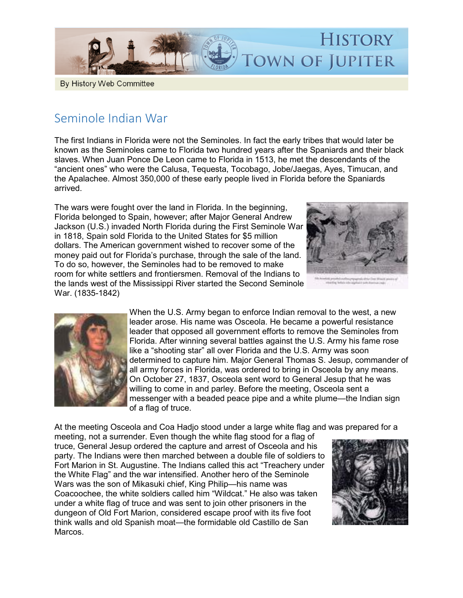

## By History Web Committee

## Seminole Indian War

The first Indians in Florida were not the Seminoles. In fact the early tribes that would later be known as the Seminoles came to Florida two hundred years after the Spaniards and their black slaves. When Juan Ponce De Leon came to Florida in 1513, he met the descendants of the "ancient ones" who were the Calusa, Tequesta, Tocobago, Jobe/Jaegas, Ayes, Timucan, and the Apalachee. Almost 350,000 of these early people lived in Florida before the Spaniards arrived.

The wars were fought over the land in Florida. In the beginning, Florida belonged to Spain, however; after Major General Andrew Jackson (U.S.) invaded North Florida during the First Seminole War in 1818, Spain sold Florida to the United States for \$5 million dollars. The American government wished to recover some of the money paid out for Florida's purchase, through the sale of the land. To do so, however, the Seminoles had to be removed to make room for white settlers and frontiersmen. Removal of the Indians to the lands west of the Mississippi River started the Second Seminole War. (1835-1842)





When the U.S. Army began to enforce Indian removal to the west, a new leader arose. His name was Osceola. He became a powerful resistance leader that opposed all government efforts to remove the Seminoles from Florida. After winning several battles against the U.S. Army his fame rose like a "shooting star" all over Florida and the U.S. Army was soon determined to capture him. Major General Thomas S. Jesup, commander of all army forces in Florida, was ordered to bring in Osceola by any means. On October 27, 1837, Osceola sent word to General Jesup that he was willing to come in and parley. Before the meeting, Osceola sent a messenger with a beaded peace pipe and a white plume—the Indian sign of a flag of truce.

At the meeting Osceola and Coa Hadjo stood under a large white flag and was prepared for a

meeting, not a surrender. Even though the white flag stood for a flag of truce, General Jesup ordered the capture and arrest of Osceola and his party. The Indians were then marched between a double file of soldiers to Fort Marion in St. Augustine. The Indians called this act "Treachery under the White Flag" and the war intensified. Another hero of the Seminole Wars was the son of Mikasuki chief, King Philip—his name was Coacoochee, the white soldiers called him "Wildcat." He also was taken under a white flag of truce and was sent to join other prisoners in the dungeon of Old Fort Marion, considered escape proof with its five foot think walls and old Spanish moat—the formidable old Castillo de San Marcos.

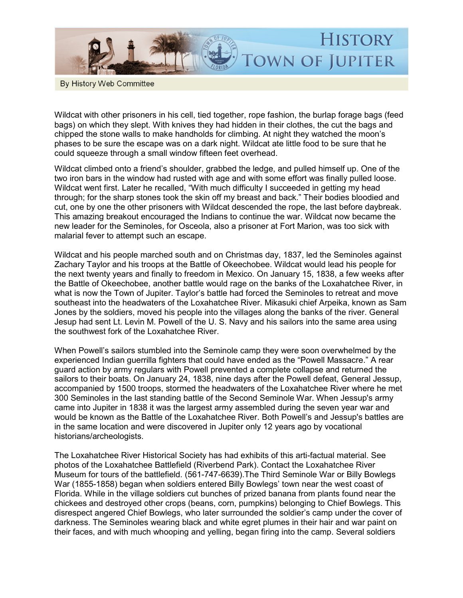

By History Web Committee

Wildcat with other prisoners in his cell, tied together, rope fashion, the burlap forage bags (feed bags) on which they slept. With knives they had hidden in their clothes, the cut the bags and chipped the stone walls to make handholds for climbing. At night they watched the moon's phases to be sure the escape was on a dark night. Wildcat ate little food to be sure that he could squeeze through a small window fifteen feet overhead.

Wildcat climbed onto a friend's shoulder, grabbed the ledge, and pulled himself up. One of the two iron bars in the window had rusted with age and with some effort was finally pulled loose. Wildcat went first. Later he recalled, "With much difficulty I succeeded in getting my head through; for the sharp stones took the skin off my breast and back." Their bodies bloodied and cut, one by one the other prisoners with Wildcat descended the rope, the last before daybreak. This amazing breakout encouraged the Indians to continue the war. Wildcat now became the new leader for the Seminoles, for Osceola, also a prisoner at Fort Marion, was too sick with malarial fever to attempt such an escape.

Wildcat and his people marched south and on Christmas day, 1837, led the Seminoles against Zachary Taylor and his troops at the Battle of Okeechobee. Wildcat would lead his people for the next twenty years and finally to freedom in Mexico. On January 15, 1838, a few weeks after the Battle of Okeechobee, another battle would rage on the banks of the Loxahatchee River, in what is now the Town of Jupiter. Taylor's battle had forced the Seminoles to retreat and move southeast into the headwaters of the Loxahatchee River. Mikasuki chief Arpeika, known as Sam Jones by the soldiers, moved his people into the villages along the banks of the river. General Jesup had sent Lt. Levin M. Powell of the U. S. Navy and his sailors into the same area using the southwest fork of the Loxahatchee River.

When Powell's sailors stumbled into the Seminole camp they were soon overwhelmed by the experienced Indian guerrilla fighters that could have ended as the "Powell Massacre." A rear guard action by army regulars with Powell prevented a complete collapse and returned the sailors to their boats. On January 24, 1838, nine days after the Powell defeat, General Jessup, accompanied by 1500 troops, stormed the headwaters of the Loxahatchee River where he met 300 Seminoles in the last standing battle of the Second Seminole War. When Jessup's army came into Jupiter in 1838 it was the largest army assembled during the seven year war and would be known as the Battle of the Loxahatchee River. Both Powell's and Jessup's battles are in the same location and were discovered in Jupiter only 12 years ago by vocational historians/archeologists.

The Loxahatchee River Historical Society has had exhibits of this arti-factual material. See photos of the Loxahatchee Battlefield (Riverbend Park). Contact the Loxahatchee River Museum for tours of the battlefield. (5617476639).The Third Seminole War or Billy Bowlegs War (1855-1858) began when soldiers entered Billy Bowlegs' town near the west coast of Florida. While in the village soldiers cut bunches of prized banana from plants found near the chickees and destroyed other crops (beans, corn, pumpkins) belonging to Chief Bowlegs. This disrespect angered Chief Bowlegs, who later surrounded the soldier's camp under the cover of darkness. The Seminoles wearing black and white egret plumes in their hair and war paint on their faces, and with much whooping and yelling, began firing into the camp. Several soldiers